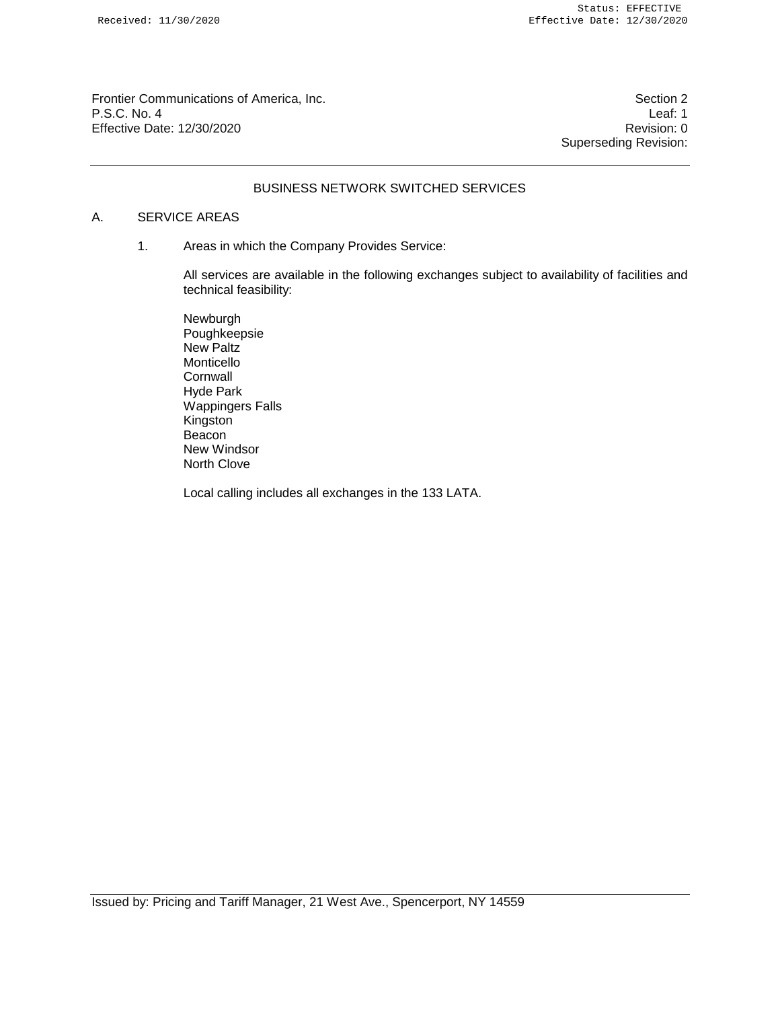Frontier Communications of America, Inc. Section 2 P.S.C. No. 4 Leaf: 1 Effective Date: 12/30/2020 **Revision: 0 Revision: 0** 

Superseding Revision:

# BUSINESS NETWORK SWITCHED SERVICES

## A. SERVICE AREAS

1. Areas in which the Company Provides Service:

All services are available in the following exchanges subject to availability of facilities and technical feasibility:

Newburgh Poughkeepsie New Paltz Monticello **Cornwall** Hyde Park Wappingers Falls Kingston **Beacon** New Windsor North Clove

Local calling includes all exchanges in the 133 LATA.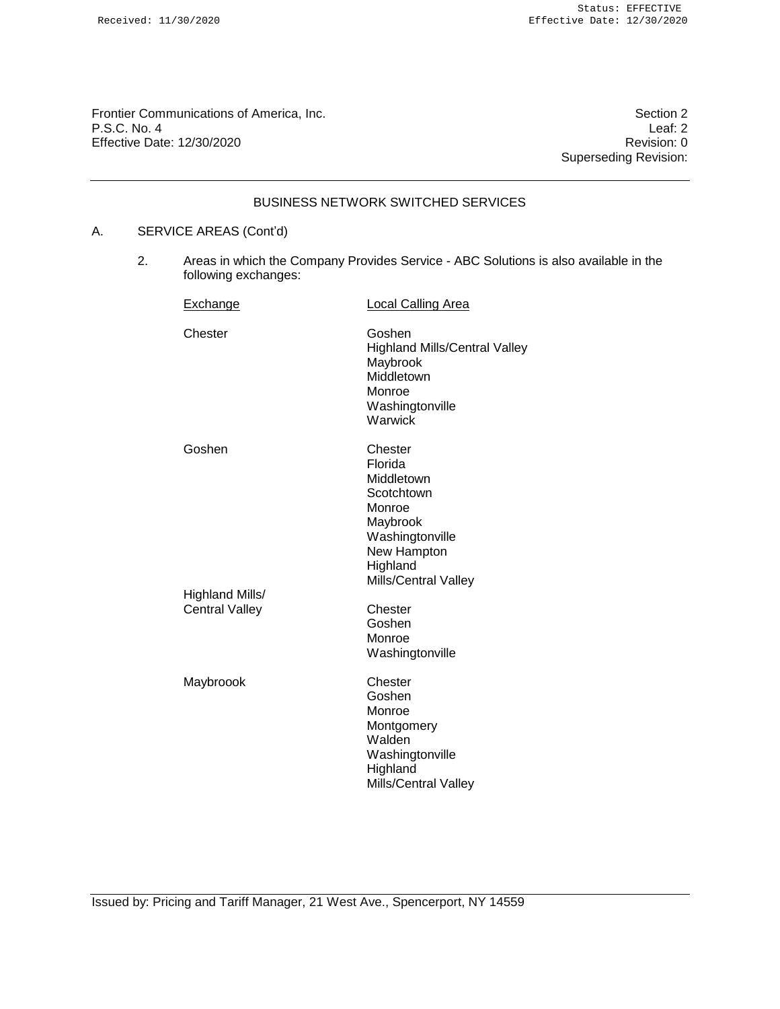Frontier Communications of America, Inc.<br>
P.S.C. No. 4 Leaf: 2 P.S.C. No. 4 Leaf: 2<br>Effective Date: 12/30/2020 Effective Date: 12/30/2020

Superseding Revision:

# BUSINESS NETWORK SWITCHED SERVICES

## A. SERVICE AREAS (Cont'd)

2. Areas in which the Company Provides Service - ABC Solutions is also available in the following exchanges:

| Exchange                                 | <b>Local Calling Area</b>                                                                                          |  |
|------------------------------------------|--------------------------------------------------------------------------------------------------------------------|--|
| Chester                                  | Goshen<br><b>Highland Mills/Central Valley</b><br>Maybrook<br>Middletown<br>Monroe<br>Washingtonville<br>Warwick   |  |
| Goshen                                   | Chester<br>Florida<br>Middletown<br>Scotchtown<br>Monroe<br>Maybrook<br>Washingtonville<br>New Hampton<br>Highland |  |
| Highland Mills/<br><b>Central Valley</b> | Mills/Central Valley<br>Chester<br>Goshen<br>Monroe<br>Washingtonville                                             |  |
| Maybroook                                | Chester<br>Goshen<br>Monroe<br>Montgomery<br>Walden<br>Washingtonville<br>Highland<br><b>Mills/Central Valley</b>  |  |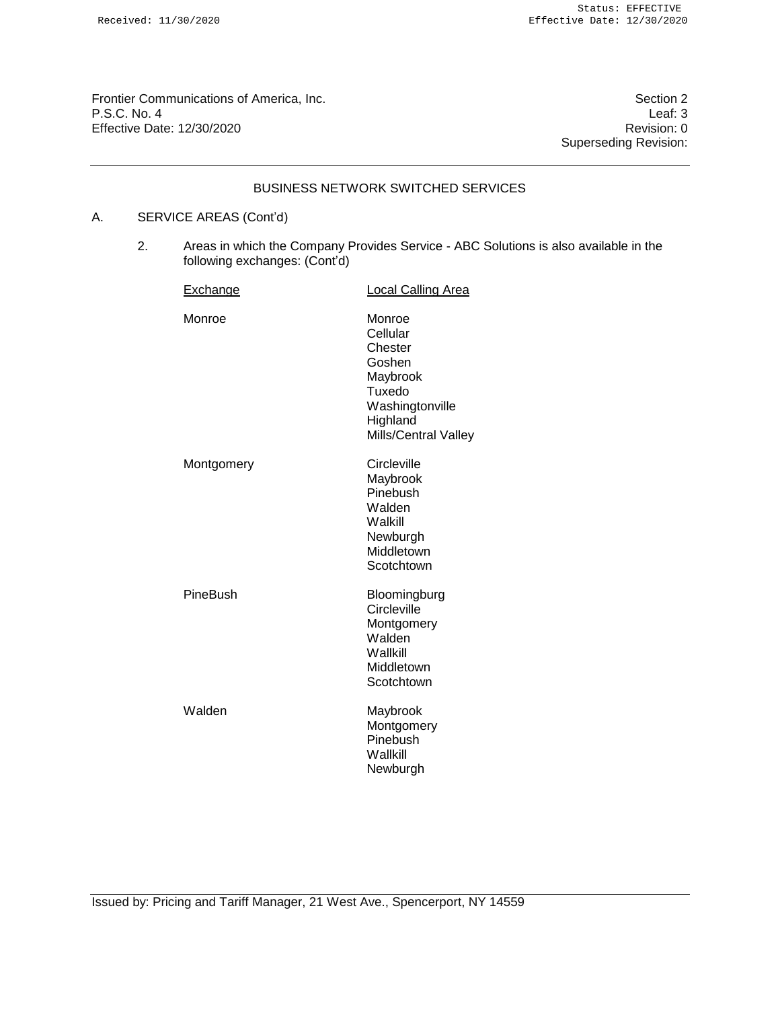Frontier Communications of America, Inc. Section 2 P.S.C. No. 4 Leaf: 3<br>Effective Date: 12/30/2020 **Effective Date: 12/30/2020** 

Superseding Revision:

### BUSINESS NETWORK SWITCHED SERVICES

# A. SERVICE AREAS (Cont'd)

2. Areas in which the Company Provides Service - ABC Solutions is also available in the following exchanges: (Cont'd)

| Exchange   | <b>Local Calling Area</b>                                                                                            |
|------------|----------------------------------------------------------------------------------------------------------------------|
| Monroe     | Monroe<br>Cellular<br>Chester<br>Goshen<br>Maybrook<br>Tuxedo<br>Washingtonville<br>Highland<br>Mills/Central Valley |
| Montgomery | Circleville<br>Maybrook<br>Pinebush<br>Walden<br>Walkill<br>Newburgh<br>Middletown<br>Scotchtown                     |
| PineBush   | Bloomingburg<br>Circleville<br>Montgomery<br>Walden<br>Wallkill<br>Middletown<br>Scotchtown                          |
| Walden     | Maybrook<br>Montgomery<br>Pinebush<br>Wallkill<br>Newburgh                                                           |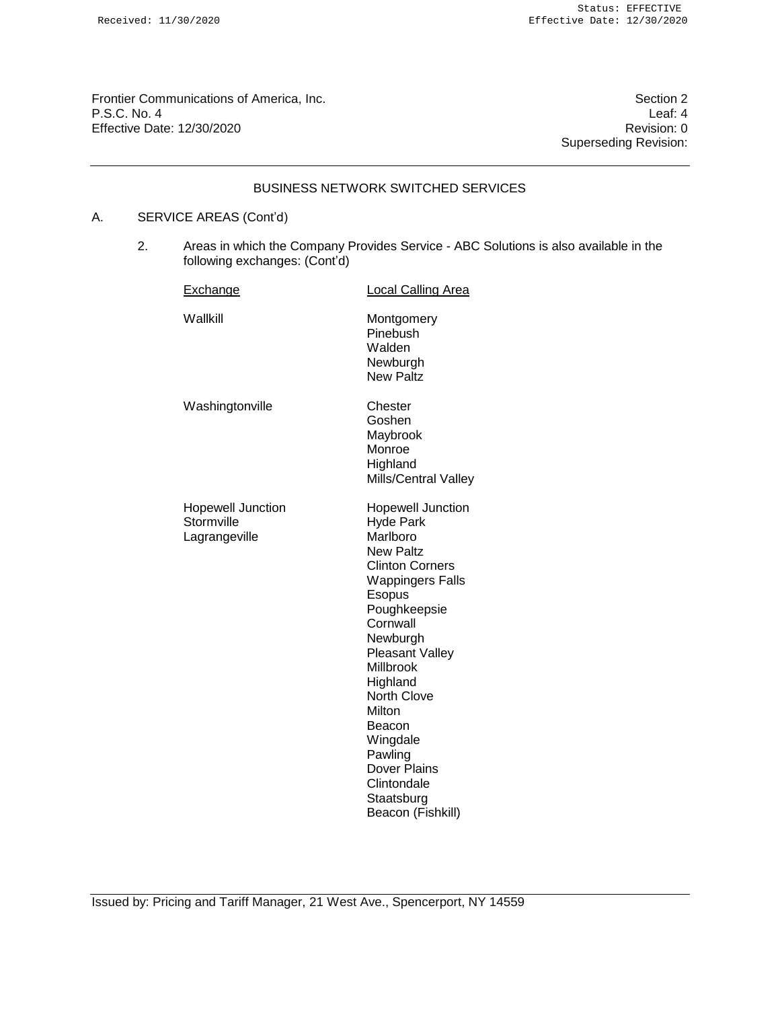Frontier Communications of America, Inc. Section 2 P.S.C. No. 4 Leaf: 4 Leaf: 4 Leaf: 4 Leaf: 4 Leaf: 4 Leaf: 4 Leaf: 4 Leaf: 4 Leaf: 4 Leaf: 4 Leaf: 4 Leaf: 4 Leaf: 4 Leaf: 4 Leaf: 4 Leaf: 4 Leaf: 4 Leaf: 4 Leaf: 4 Leaf: 4 Leaf: 0 Revision: 0 **Effective Date: 12/30/2020** 

Superseding Revision:

## BUSINESS NETWORK SWITCHED SERVICES

# A. SERVICE AREAS (Cont'd)

2. Areas in which the Company Provides Service - ABC Solutions is also available in the following exchanges: (Cont'd)

| Exchange                                                | <b>Local Calling Area</b>                                                                                                                                                                                                                                                                                                                                   |
|---------------------------------------------------------|-------------------------------------------------------------------------------------------------------------------------------------------------------------------------------------------------------------------------------------------------------------------------------------------------------------------------------------------------------------|
| Wallkill                                                | Montgomery<br>Pinebush<br>Walden<br>Newburgh<br><b>New Paltz</b>                                                                                                                                                                                                                                                                                            |
| Washingtonville                                         | Chester<br>Goshen<br>Maybrook<br>Monroe<br>Highland<br><b>Mills/Central Valley</b>                                                                                                                                                                                                                                                                          |
| <b>Hopewell Junction</b><br>Stormville<br>Lagrangeville | <b>Hopewell Junction</b><br>Hyde Park<br>Marlboro<br>New Paltz<br><b>Clinton Corners</b><br><b>Wappingers Falls</b><br>Esopus<br>Poughkeepsie<br>Cornwall<br>Newburgh<br><b>Pleasant Valley</b><br><b>Millbrook</b><br>Highland<br>North Clove<br>Milton<br>Beacon<br>Wingdale<br>Pawling<br>Dover Plains<br>Clintondale<br>Staatsburg<br>Beacon (Fishkill) |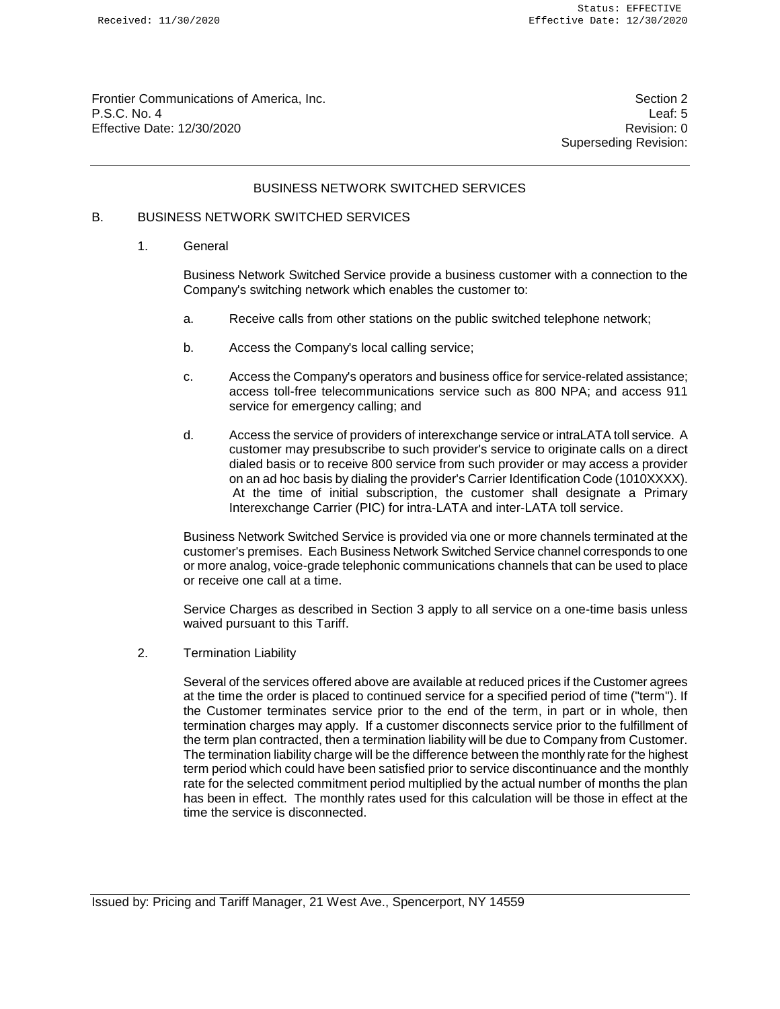Frontier Communications of America, Inc. Section 2 and 2008 and 2009 and 2009 and 2009 and 2009 and 2009 and 2009 and 2009 and 2009 and 2009 and 2009 and 2009 and 2009 and 2009 and 2009 and 2009 and 2009 and 2009 and 2009 P.S.C. No. 4 Leaf: 5 Effective Date: 12/30/2020 **Revision: 0 Revision: 0** 

Superseding Revision:

### BUSINESS NETWORK SWITCHED SERVICES

## B. BUSINESS NETWORK SWITCHED SERVICES

1. General

Business Network Switched Service provide a business customer with a connection to the Company's switching network which enables the customer to:

- a. Receive calls from other stations on the public switched telephone network;
- b. Access the Company's local calling service;
- c. Access the Company's operators and business office for service-related assistance; access toll-free telecommunications service such as 800 NPA; and access 911 service for emergency calling; and
- d. Access the service of providers of interexchange service or intraLATA toll service. A customer may presubscribe to such provider's service to originate calls on a direct dialed basis or to receive 800 service from such provider or may access a provider on an ad hoc basis by dialing the provider's Carrier Identification Code (1010XXXX). At the time of initial subscription, the customer shall designate a Primary Interexchange Carrier (PIC) for intra-LATA and inter-LATA toll service.

Business Network Switched Service is provided via one or more channels terminated at the customer's premises. Each Business Network Switched Service channel corresponds to one or more analog, voice-grade telephonic communications channels that can be used to place or receive one call at a time.

Service Charges as described in Section 3 apply to all service on a one-time basis unless waived pursuant to this Tariff.

2. Termination Liability

Several of the services offered above are available at reduced prices if the Customer agrees at the time the order is placed to continued service for a specified period of time ("term"). If the Customer terminates service prior to the end of the term, in part or in whole, then termination charges may apply. If a customer disconnects service prior to the fulfillment of the term plan contracted, then a termination liability will be due to Company from Customer. The termination liability charge will be the difference between the monthly rate for the highest term period which could have been satisfied prior to service discontinuance and the monthly rate for the selected commitment period multiplied by the actual number of months the plan has been in effect. The monthly rates used for this calculation will be those in effect at the time the service is disconnected.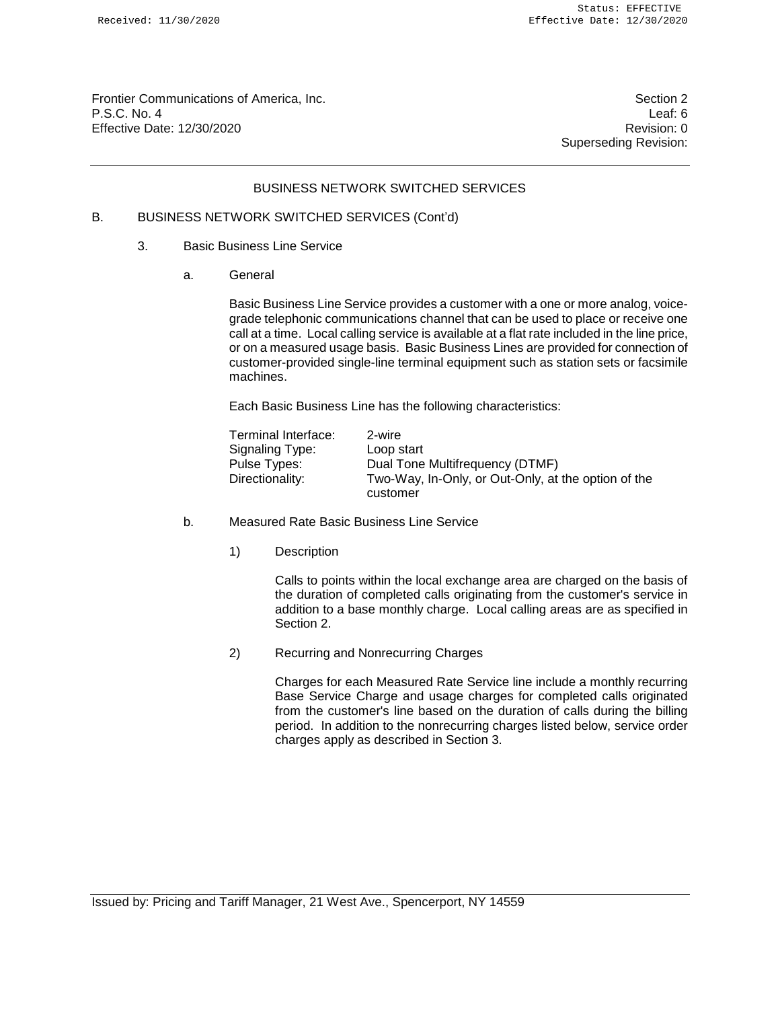Frontier Communications of America, Inc. Section 2 and 2008 and 2009 and 2009 and 2009 and 2009 and 2009 and 2009 and 2009 and 2009 and 2009 and 2009 and 2009 and 2009 and 2009 and 2009 and 2009 and 2009 and 2009 and 2009 P.S.C. No. 4 Leaf: 6 Effective Date: 12/30/2020 **Revision: 0 Revision: 0** 

Superseding Revision:

#### BUSINESS NETWORK SWITCHED SERVICES

# B. BUSINESS NETWORK SWITCHED SERVICES (Cont'd)

#### 3. Basic Business Line Service

a. General

Basic Business Line Service provides a customer with a one or more analog, voicegrade telephonic communications channel that can be used to place or receive one call at a time. Local calling service is available at a flat rate included in the line price, or on a measured usage basis. Basic Business Lines are provided for connection of customer-provided single-line terminal equipment such as station sets or facsimile machines.

Each Basic Business Line has the following characteristics:

| Terminal Interface: | 2-wire                                              |
|---------------------|-----------------------------------------------------|
| Signaling Type:     | Loop start                                          |
| Pulse Types:        | Dual Tone Multifrequency (DTMF)                     |
| Directionality:     | Two-Way, In-Only, or Out-Only, at the option of the |
|                     | customer                                            |

- b. Measured Rate Basic Business Line Service
	- 1) Description

Calls to points within the local exchange area are charged on the basis of the duration of completed calls originating from the customer's service in addition to a base monthly charge. Local calling areas are as specified in Section 2.

2) Recurring and Nonrecurring Charges

Charges for each Measured Rate Service line include a monthly recurring Base Service Charge and usage charges for completed calls originated from the customer's line based on the duration of calls during the billing period. In addition to the nonrecurring charges listed below, service order charges apply as described in Section 3.